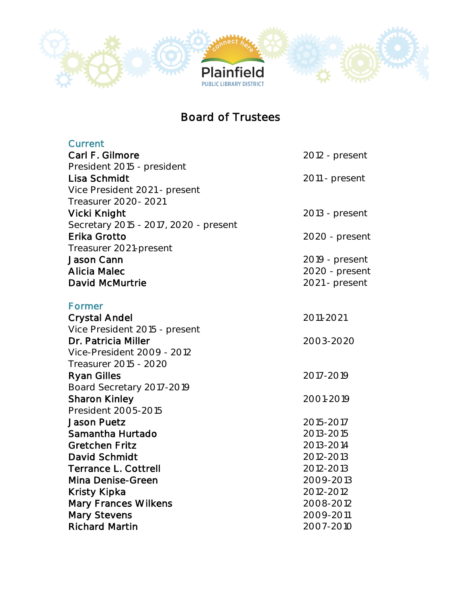

## Board of Trustees

| Current                               |                |
|---------------------------------------|----------------|
| Carl F. Gilmore                       | 2012 - present |
| President 2015 - president            |                |
| Lisa Schmidt                          | 2011 - present |
| Vice President 2021 - present         |                |
| Treasurer 2020-2021                   |                |
| Vicki Knight                          | 2013 - present |
| Secretary 2015 - 2017, 2020 - present |                |
| Erika Grotto                          | 2020 - present |
| Treasurer 2021-present                |                |
| Jason Cann                            | 2019 - present |
| <b>Alicia Malec</b>                   | 2020 - present |
| David McMurtrie                       | 2021 - present |
|                                       |                |
| Former                                |                |
| <b>Crystal Andel</b>                  | 2011-2021      |
| Vice President 2015 - present         |                |
| Dr. Patricia Miller                   | 2003-2020      |
| Vice-President 2009 - 2012            |                |
| Treasurer 2015 - 2020                 |                |
| <b>Ryan Gilles</b>                    | 2017-2019      |
| Board Secretary 2017-2019             |                |
| <b>Sharon Kinley</b>                  | 2001-2019      |
| President 2005-2015                   |                |
| <b>Jason Puetz</b>                    | 2015-2017      |
| Samantha Hurtado                      | 2013-2015      |
| <b>Gretchen Fritz</b>                 | 2013-2014      |
| David Schmidt                         | 2012-2013      |
| Terrance L. Cottrell                  | 2012-2013      |
| Mina Denise-Green                     | 2009-2013      |
| Kristy Kipka                          | 2012-2012      |
| <b>Mary Frances Wilkens</b>           | 2008-2012      |
| Mary Stevens                          | 2009-2011      |
| <b>Richard Martin</b>                 | 2007-2010      |
|                                       |                |